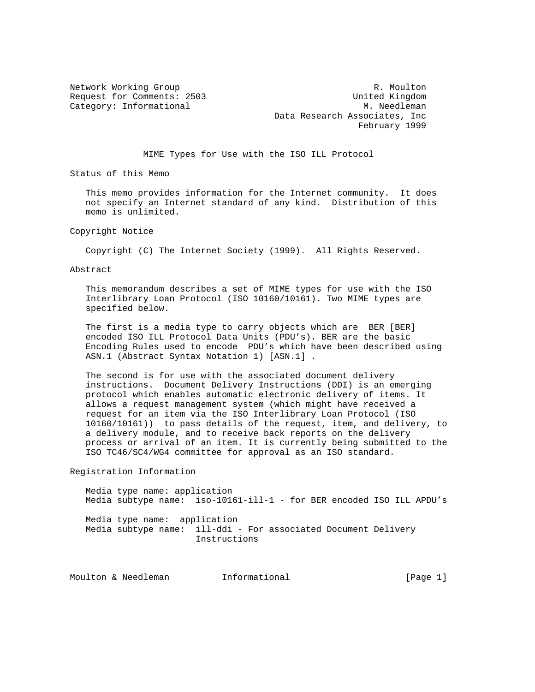Network Working Group **R. Moulton** R. Moulton Request for Comments: 2503 United Kingdom Category: Informational M. Needleman Data Research Associates, Inc February 1999

MIME Types for Use with the ISO ILL Protocol

Status of this Memo

 This memo provides information for the Internet community. It does not specify an Internet standard of any kind. Distribution of this memo is unlimited.

Copyright Notice

Copyright (C) The Internet Society (1999). All Rights Reserved.

Abstract

 This memorandum describes a set of MIME types for use with the ISO Interlibrary Loan Protocol (ISO 10160/10161). Two MIME types are specified below.

 The first is a media type to carry objects which are BER [BER] encoded ISO ILL Protocol Data Units (PDU's). BER are the basic Encoding Rules used to encode PDU's which have been described using ASN.1 (Abstract Syntax Notation 1) [ASN.1] .

 The second is for use with the associated document delivery instructions. Document Delivery Instructions (DDI) is an emerging protocol which enables automatic electronic delivery of items. It allows a request management system (which might have received a request for an item via the ISO Interlibrary Loan Protocol (ISO 10160/10161)) to pass details of the request, item, and delivery, to a delivery module, and to receive back reports on the delivery process or arrival of an item. It is currently being submitted to the ISO TC46/SC4/WG4 committee for approval as an ISO standard.

Registration Information

 Media type name: application Media subtype name: iso-10161-ill-1 - for BER encoded ISO ILL APDU's Media type name: application Media subtype name: ill-ddi - For associated Document Delivery Instructions

Moulton & Needleman 1nformational (Page 1)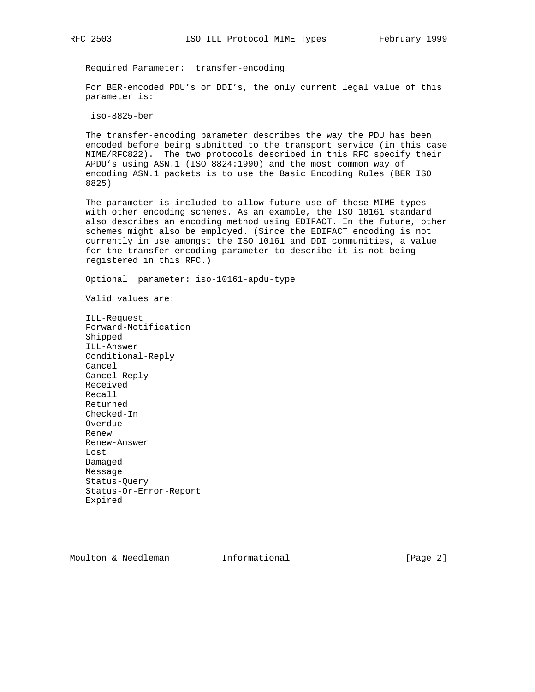Required Parameter: transfer-encoding

 For BER-encoded PDU's or DDI's, the only current legal value of this parameter is:

iso-8825-ber

 The transfer-encoding parameter describes the way the PDU has been encoded before being submitted to the transport service (in this case MIME/RFC822). The two protocols described in this RFC specify their APDU's using ASN.1 (ISO 8824:1990) and the most common way of encoding ASN.1 packets is to use the Basic Encoding Rules (BER ISO 8825)

 The parameter is included to allow future use of these MIME types with other encoding schemes. As an example, the ISO 10161 standard also describes an encoding method using EDIFACT. In the future, other schemes might also be employed. (Since the EDIFACT encoding is not currently in use amongst the ISO 10161 and DDI communities, a value for the transfer-encoding parameter to describe it is not being registered in this RFC.)

Optional parameter: iso-10161-apdu-type

Valid values are:

 ILL-Request Forward-Notification Shipped ILL-Answer Conditional-Reply Cancel Cancel-Reply Received Recall Returned Checked-In Overdue Renew Renew-Answer Lost Damaged Message Status-Query Status-Or-Error-Report Expired

Moulton & Needleman **Informational Informational** [Page 2]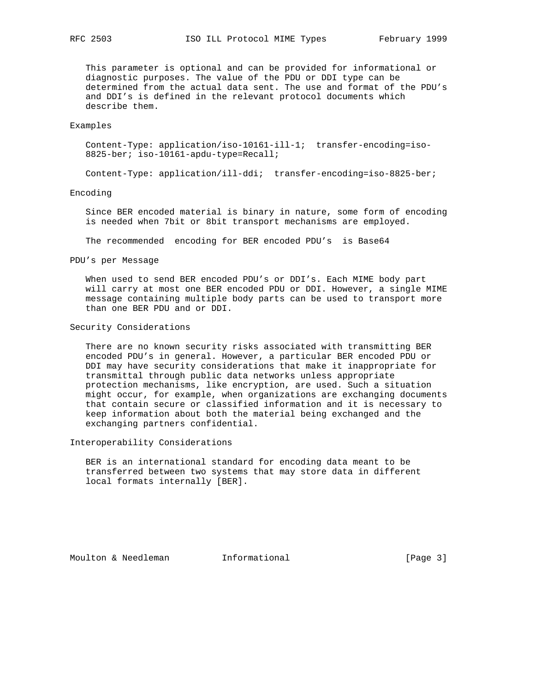This parameter is optional and can be provided for informational or diagnostic purposes. The value of the PDU or DDI type can be determined from the actual data sent. The use and format of the PDU's and DDI's is defined in the relevant protocol documents which describe them.

### Examples

 Content-Type: application/iso-10161-ill-1; transfer-encoding=iso- 8825-ber; iso-10161-apdu-type=Recall;

Content-Type: application/ill-ddi; transfer-encoding=iso-8825-ber;

#### Encoding

 Since BER encoded material is binary in nature, some form of encoding is needed when 7bit or 8bit transport mechanisms are employed.

The recommended encoding for BER encoded PDU's is Base64

PDU's per Message

 When used to send BER encoded PDU's or DDI's. Each MIME body part will carry at most one BER encoded PDU or DDI. However, a single MIME message containing multiple body parts can be used to transport more than one BER PDU and or DDI.

## Security Considerations

 There are no known security risks associated with transmitting BER encoded PDU's in general. However, a particular BER encoded PDU or DDI may have security considerations that make it inappropriate for transmittal through public data networks unless appropriate protection mechanisms, like encryption, are used. Such a situation might occur, for example, when organizations are exchanging documents that contain secure or classified information and it is necessary to keep information about both the material being exchanged and the exchanging partners confidential.

Interoperability Considerations

 BER is an international standard for encoding data meant to be transferred between two systems that may store data in different local formats internally [BER].

Moulton & Needleman Informational [Page 3]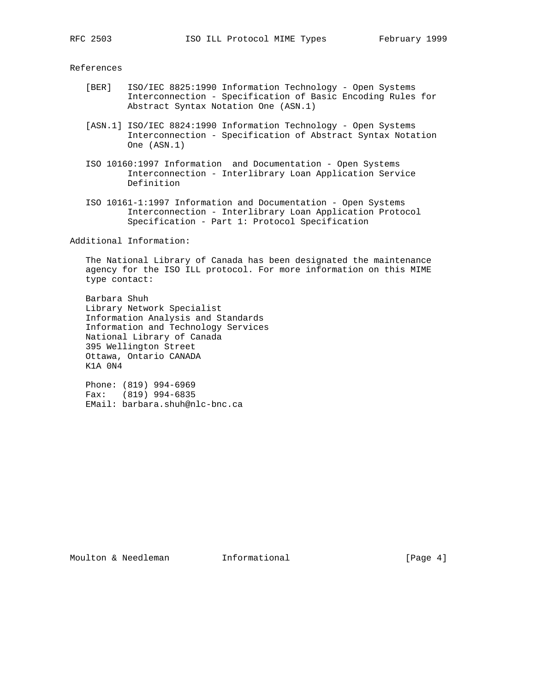#### References

- [BER] ISO/IEC 8825:1990 Information Technology Open Systems Interconnection - Specification of Basic Encoding Rules for Abstract Syntax Notation One (ASN.1)
- [ASN.1] ISO/IEC 8824:1990 Information Technology Open Systems Interconnection - Specification of Abstract Syntax Notation One (ASN.1)
- ISO 10160:1997 Information and Documentation Open Systems Interconnection - Interlibrary Loan Application Service Definition
- ISO 10161-1:1997 Information and Documentation Open Systems Interconnection - Interlibrary Loan Application Protocol Specification - Part 1: Protocol Specification

Additional Information:

 The National Library of Canada has been designated the maintenance agency for the ISO ILL protocol. For more information on this MIME type contact:

 Barbara Shuh Library Network Specialist Information Analysis and Standards Information and Technology Services National Library of Canada 395 Wellington Street Ottawa, Ontario CANADA K1A 0N4

 Phone: (819) 994-6969 Fax: (819) 994-6835 EMail: barbara.shuh@nlc-bnc.ca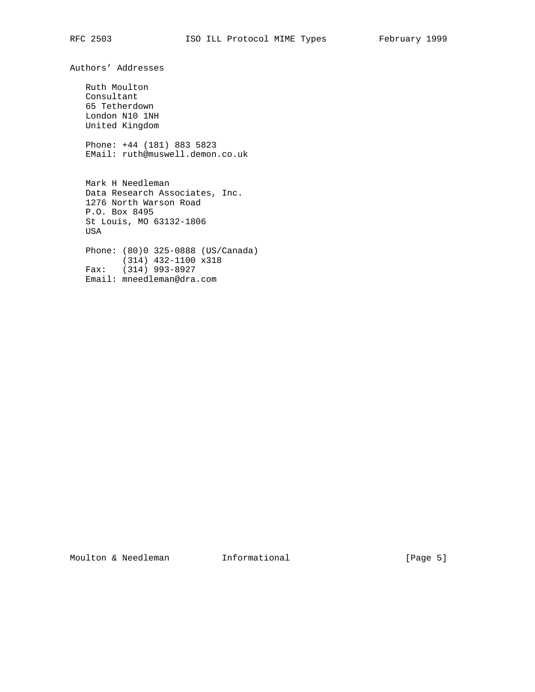Authors' Addresses Ruth Moulton Consultant 65 Tetherdown London N10 1NH United Kingdom Phone: +44 (181) 883 5823 EMail: ruth@muswell.demon.co.uk Mark H Needleman Data Research Associates, Inc. 1276 North Warson Road P.O. Box 8495 St Louis, MO 63132-1806 USA Phone: (80)0 325-0888 (US/Canada) (314) 432-1100 x318 Fax: (314) 993-8927 Email: mneedleman@dra.com